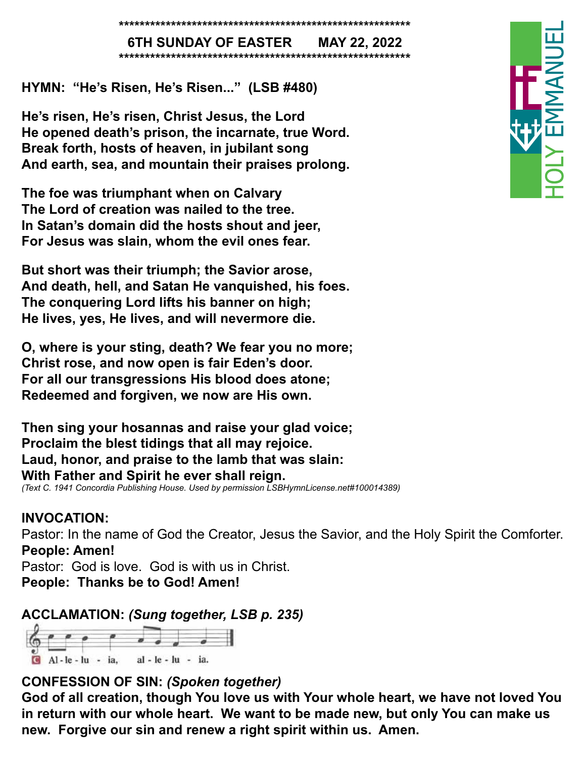**\*\*\*\*\*\*\*\*\*\*\*\*\*\*\*\*\*\*\*\*\*\*\*\*\*\*\*\*\*\*\*\*\*\*\*\*\*\*\*\*\*\*\*\*\*\*\*\*\*\*\*\*\*\*\*\***

**6TH SUNDAY OF EASTER MAY 22, 2022 \*\*\*\*\*\*\*\*\*\*\*\*\*\*\*\*\*\*\*\*\*\*\*\*\*\*\*\*\*\*\*\*\*\*\*\*\*\*\*\*\*\*\*\*\*\*\*\*\*\*\*\*\*\*\*\***

**HYMN: "He's Risen, He's Risen..." (LSB #480)**

**He's risen, He's risen, Christ Jesus, the Lord He opened death's prison, the incarnate, true Word. Break forth, hosts of heaven, in jubilant song And earth, sea, and mountain their praises prolong.**

**The foe was triumphant when on Calvary The Lord of creation was nailed to the tree. In Satan's domain did the hosts shout and jeer, For Jesus was slain, whom the evil ones fear.**

**But short was their triumph; the Savior arose, And death, hell, and Satan He vanquished, his foes. The conquering Lord lifts his banner on high; He lives, yes, He lives, and will nevermore die.**

**O, where is your sting, death? We fear you no more; Christ rose, and now open is fair Eden's door. For all our transgressions His blood does atone; Redeemed and forgiven, we now are His own.**

**Then sing your hosannas and raise your glad voice; Proclaim the blest tidings that all may rejoice. Laud, honor, and praise to the lamb that was slain: With Father and Spirit he ever shall reign.**

#### *(Text C. 1941 Concordia Publishing House. Used by permission LSBHymnLicense.net#100014389)*

## **INVOCATION:**

Pastor: In the name of God the Creator, Jesus the Savior, and the Holy Spirit the Comforter. **People: Amen!**

Pastor: God is love. God is with us in Christ. **People: Thanks be to God! Amen!**

## **ACCLAMATION:** *(Sung together, LSB p. 235)*

# **CONFESSION OF SIN:** *(Spoken together)*

**God of all creation, though You love us with Your whole heart, we have not loved You in return with our whole heart. We want to be made new, but only You can make us new. Forgive our sin and renew a right spirit within us. Amen.**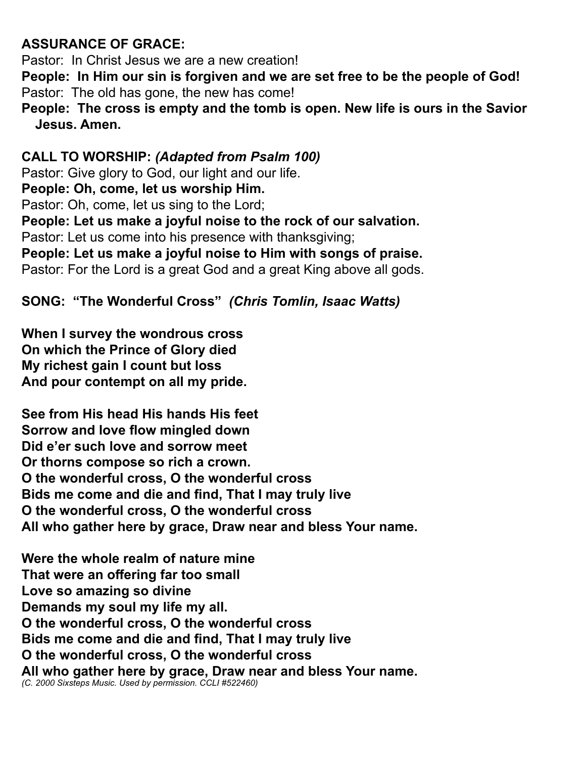## **ASSURANCE OF GRACE:**

Pastor: In Christ Jesus we are a new creation! **People: In Him our sin is forgiven and we are set free to be the people of God!** Pastor: The old has gone, the new has come! **People: The cross is empty and the tomb is open. New life is ours in the Savior** 

**Jesus. Amen.** 

**CALL TO WORSHIP:** *(Adapted from Psalm 100)* Pastor: Give glory to God, our light and our life. **People: Oh, come, let us worship Him.**  Pastor: Oh, come, let us sing to the Lord; **People: Let us make a joyful noise to the rock of our salvation.**  Pastor: Let us come into his presence with thanksgiving; **People: Let us make a joyful noise to Him with songs of praise.**  Pastor: For the Lord is a great God and a great King above all gods.

## **SONG: "The Wonderful Cross"** *(Chris Tomlin, Isaac Watts)*

**When I survey the wondrous cross On which the Prince of Glory died My richest gain I count but loss And pour contempt on all my pride.**

**See from His head His hands His feet Sorrow and love flow mingled down Did e'er such love and sorrow meet Or thorns compose so rich a crown. O the wonderful cross, O the wonderful cross Bids me come and die and find, That I may truly live O the wonderful cross, O the wonderful cross All who gather here by grace, Draw near and bless Your name.**

**Were the whole realm of nature mine That were an offering far too small Love so amazing so divine Demands my soul my life my all. O the wonderful cross, O the wonderful cross Bids me come and die and find, That I may truly live O the wonderful cross, O the wonderful cross All who gather here by grace, Draw near and bless Your name.** *(C. 2000 Sixsteps Music. Used by permission. CCLI #522460)*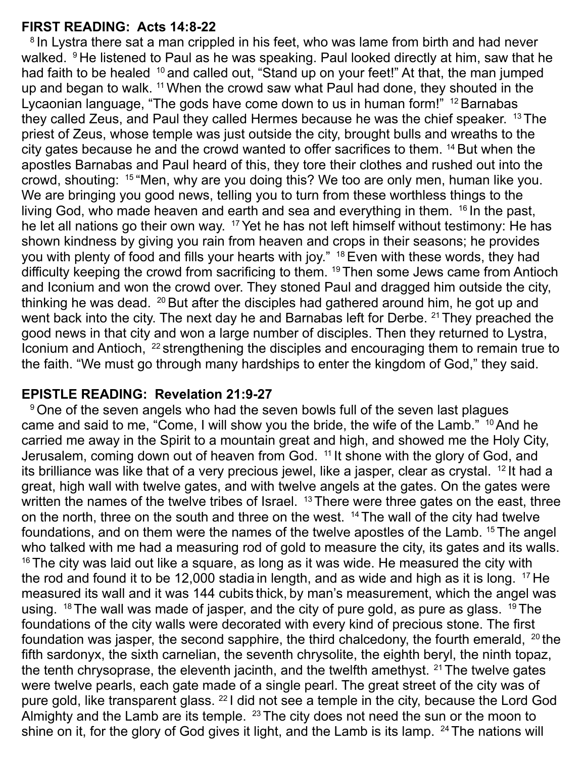#### **FIRST READING: Acts 14:8-22**

<sup>8</sup> In Lystra there sat a man crippled in his feet, who was lame from birth and had never walked. <sup>9</sup> He listened to Paul as he was speaking. Paul looked directly at him, saw that he had faith to be healed <sup>10</sup> and called out, "Stand up on your feet!" At that, the man jumped up and began to walk. <sup>11</sup> When the crowd saw what Paul had done, they shouted in the Lycaonian language, "The gods have come down to us in human form!" <sup>12</sup> Barnabas they called Zeus, and Paul they called Hermes because he was the chief speaker. 13 The priest of Zeus, whose temple was just outside the city, brought bulls and wreaths to the city gates because he and the crowd wanted to offer sacrifices to them. 14 But when the apostles Barnabas and Paul heard of this, they tore their clothes and rushed out into the crowd, shouting: 15 "Men, why are you doing this? We too are only men, human like you. We are bringing you good news, telling you to turn from these worthless things to the living God, who made heaven and earth and sea and everything in them. <sup>16</sup> In the past, he let all nations go their own way. <sup>17</sup> Yet he has not left himself without testimony: He has shown kindness by giving you rain from heaven and crops in their seasons; he provides you with plenty of food and fills your hearts with joy." <sup>18</sup> Even with these words, they had difficulty keeping the crowd from sacrificing to them. <sup>19</sup> Then some Jews came from Antioch and Iconium and won the crowd over. They stoned Paul and dragged him outside the city, thinking he was dead. <sup>20</sup> But after the disciples had gathered around him, he got up and went back into the city. The next day he and Barnabas left for Derbe. <sup>21</sup> They preached the good news in that city and won a large number of disciples. Then they returned to Lystra, Iconium and Antioch, 22 strengthening the disciples and encouraging them to remain true to the faith. "We must go through many hardships to enter the kingdom of God," they said.

# **EPISTLE READING: Revelation 21:9-27**

<sup>9</sup> One of the seven angels who had the seven bowls full of the seven last plagues came and said to me, "Come, I will show you the bride, the wife of the Lamb." <sup>10</sup> And he carried me away in the Spirit to a mountain great and high, and showed me the Holy City, Jerusalem, coming down out of heaven from God. <sup>11</sup> It shone with the glory of God, and its brilliance was like that of a very precious jewel, like a jasper, clear as crystal. <sup>12</sup> It had a great, high wall with twelve gates, and with twelve angels at the gates. On the gates were written the names of the twelve tribes of Israel. <sup>13</sup> There were three gates on the east, three on the north, three on the south and three on the west. <sup>14</sup> The wall of the city had twelve foundations, and on them were the names of the twelve apostles of the Lamb. 15 The angel who talked with me had a measuring rod of gold to measure the city, its gates and its walls.  $16$  The city was laid out like a square, as long as it was wide. He measured the city with the rod and found it to be 12,000 stadia in length, and as wide and high as it is long. <sup>17</sup> He measured its wall and it was 144 cubits thick, by man's measurement, which the angel was using. <sup>18</sup> The wall was made of jasper, and the city of pure gold, as pure as glass. <sup>19</sup> The foundations of the city walls were decorated with every kind of precious stone. The first foundation was jasper, the second sapphire, the third chalcedony, the fourth emerald,  $20$  the fifth sardonyx, the sixth carnelian, the seventh chrysolite, the eighth beryl, the ninth topaz, the tenth chrysoprase, the eleventh jacinth, and the twelfth amethyst.  $21$  The twelve gates were twelve pearls, each gate made of a single pearl. The great street of the city was of pure gold, like transparent glass. 22 I did not see a temple in the city, because the Lord God Almighty and the Lamb are its temple. <sup>23</sup> The city does not need the sun or the moon to shine on it, for the glory of God gives it light, and the Lamb is its lamp. <sup>24</sup> The nations will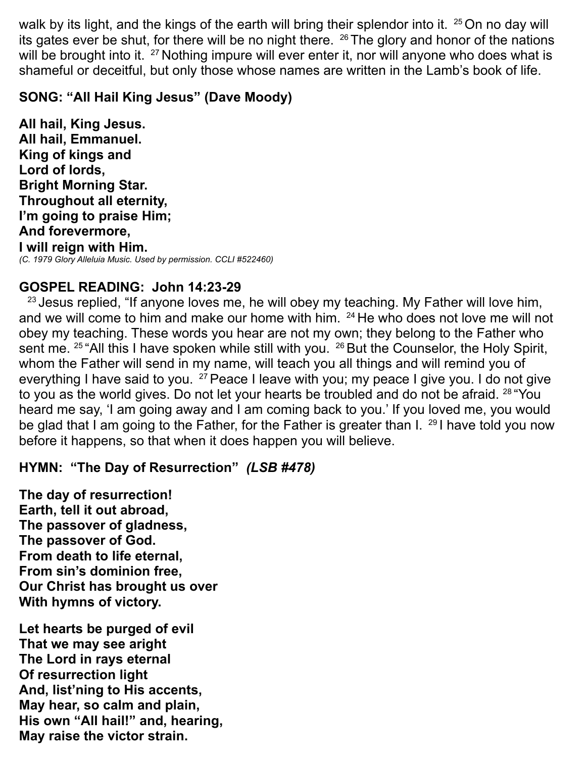walk by its light, and the kings of the earth will bring their splendor into it. <sup>25</sup> On no day will its gates ever be shut, for there will be no night there. <sup>26</sup> The glory and honor of the nations will be brought into it. <sup>27</sup> Nothing impure will ever enter it, nor will anyone who does what is shameful or deceitful, but only those whose names are written in the Lamb's book of life.

#### **SONG: "All Hail King Jesus" (Dave Moody)**

**All hail, King Jesus. All hail, Emmanuel. King of kings and Lord of lords, Bright Morning Star. Throughout all eternity, I'm going to praise Him; And forevermore, I will reign with Him.** *(C. 1979 Glory Alleluia Music. Used by permission. CCLI #522460)*

## **GOSPEL READING: John 14:23-29**

<sup>23</sup> Jesus replied, "If anyone loves me, he will obey my teaching. My Father will love him, and we will come to him and make our home with him. <sup>24</sup> He who does not love me will not obey my teaching. These words you hear are not my own; they belong to the Father who sent me. <sup>25</sup> "All this I have spoken while still with you. <sup>26</sup> But the Counselor, the Holy Spirit, whom the Father will send in my name, will teach you all things and will remind you of everything I have said to you. <sup>27</sup> Peace I leave with you; my peace I give you. I do not give to you as the world gives. Do not let your hearts be troubled and do not be afraid. <sup>28</sup> "You heard me say, 'I am going away and I am coming back to you.' If you loved me, you would be glad that I am going to the Father, for the Father is greater than I. <sup>29</sup> I have told you now before it happens, so that when it does happen you will believe.

## **HYMN: "The Day of Resurrection"** *(LSB #478)*

**The day of resurrection! Earth, tell it out abroad, The passover of gladness, The passover of God. From death to life eternal, From sin's dominion free, Our Christ has brought us over With hymns of victory.**

**Let hearts be purged of evil That we may see aright The Lord in rays eternal Of resurrection light And, list'ning to His accents, May hear, so calm and plain, His own "All hail!" and, hearing, May raise the victor strain.**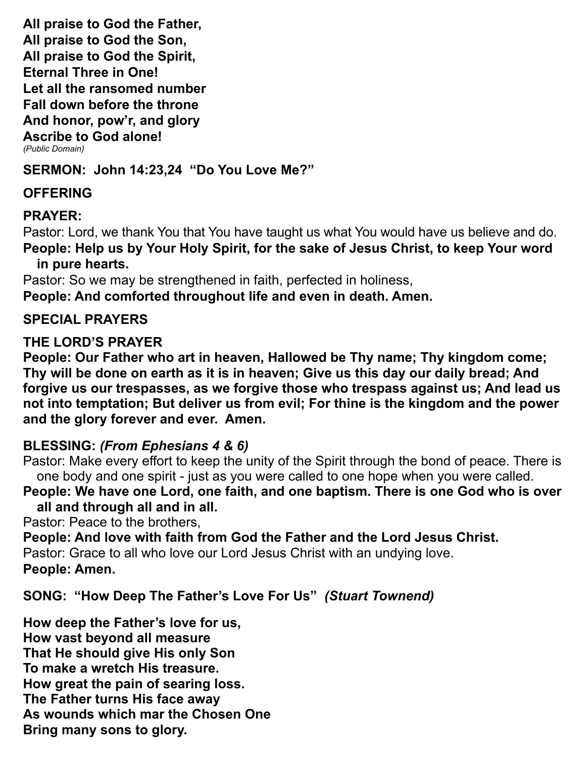**All praise to God the Father, All praise to God the Son, All praise to God the Spirit, Eternal Three in One! Let all the ransomed number Fall down before the throne And honor, pow'r, and glory Ascribe to God alone!** *(Public Domain)*

**SERMON: John 14:23,24 "Do You Love Me?"**

## **OFFERING**

## **PRAYER:**

Pastor: Lord, we thank You that You have taught us what You would have us believe and do. **People: Help us by Your Holy Spirit, for the sake of Jesus Christ, to keep Your word in pure hearts.** 

Pastor: So we may be strengthened in faith, perfected in holiness,

**People: And comforted throughout life and even in death. Amen.** 

## **SPECIAL PRAYERS**

## **THE LORD'S PRAYER**

**People: Our Father who art in heaven, Hallowed be Thy name; Thy kingdom come; Thy will be done on earth as it is in heaven; Give us this day our daily bread; And forgive us our trespasses, as we forgive those who trespass against us; And lead us not into temptation; But deliver us from evil; For thine is the kingdom and the power and the glory forever and ever. Amen.** 

## **BLESSING:** *(From Ephesians 4 & 6)*

Pastor: Make every effort to keep the unity of the Spirit through the bond of peace. There is one body and one spirit - just as you were called to one hope when you were called.

**People: We have one Lord, one faith, and one baptism. There is one God who is over all and through all and in all.** 

Pastor: Peace to the brothers,

**People: And love with faith from God the Father and the Lord Jesus Christ.** Pastor: Grace to all who love our Lord Jesus Christ with an undying love. **People: Amen.** 

# **SONG: "How Deep The Father's Love For Us"** *(Stuart Townend)*

**How deep the Father's love for us, How vast beyond all measure That He should give His only Son To make a wretch His treasure. How great the pain of searing loss. The Father turns His face away As wounds which mar the Chosen One Bring many sons to glory.**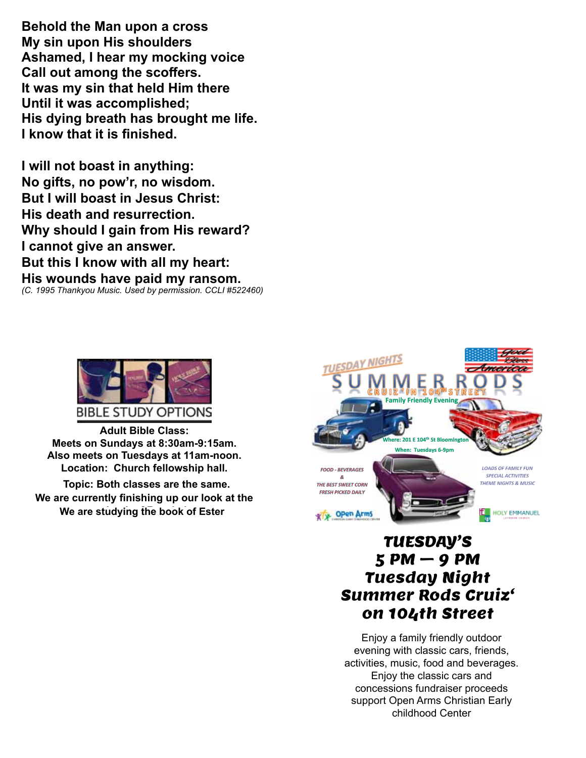**Behold the Man upon a cross My sin upon His shoulders Ashamed, I hear my mocking voice Call out among the scoffers. It was my sin that held Him there Until it was accomplished; His dying breath has brought me life. I know that it is finished.**

**I will not boast in anything: No gifts, no pow'r, no wisdom. But I will boast in Jesus Christ: His death and resurrection. Why should I gain from His reward? I cannot give an answer. But this I know with all my heart: His wounds have paid my ransom.** *(C. 1995 Thankyou Music. Used by permission. CCLI #522460)*



**Adult Bible Class: Meets on Sundays at 8:30am-9:15am. Meets on Sundays at 8:30am-9:15am. Also meets on Tuesdays at 11am-noon. Also meets on Tuesdays at 11am-noon. Location: Church fellowship hall. Location: Church fellowship hall. Adult Bible Class: Adult Bible Class:**<br> **Adult Bible Class: Meets on Tuesuays at Fight-Hourd.**<br>Interfered Okumb followship hall **LUCATUM.** CHUICH TURNSHIP HAM. **Meets on Sundays at 8:30am-9:15am. Also meets on Tuesday** 

Topic: Both classes are the same. The BEST SWEET CORN THE BEST SWEET CORN We are currently finishing up our look at the FRESH PICKED I **book of Revelation. book of Revelation. We are studying the book of Ester**



# TUESDAY'S 5 PM – 9 PM Tuesday Night Summer Rods Cruiz' on 104th Street

evening with classic cars, friends, **Dec 1st, 6:30pm. Advent Service.**   $\mathbf{sup}_{\mathbf{z}}$ **Nov 24th, 6:30pm. Thanksgiving Eve Service with Communion** Enjoy a family friendly outdoor activities, music, food and beverages. Enjoy the classic cars and concessions fundraiser proceeds support Open Arms Christian Early childhood Center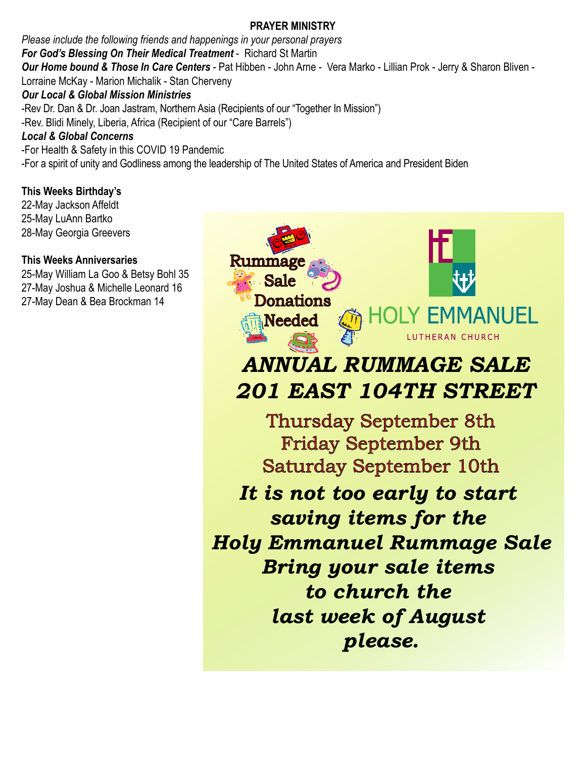#### **PRAYER MINISTRY**

*Please include the following friends and happenings in your personal prayers For God's Blessing On Their Medical Treatment* - Richard St Martin *Our Home bound & Those In Care Centers* - Pat Hibben - John Arne - Vera Marko - Lillian Prok - Jerry & Sharon Bliven - Lorraine McKay - Marion Michalik - Stan Cherveny *Our Local & Global Mission Ministries* -Rev Dr. Dan & Dr. Joan Jastram, Northern Asia (Recipients of our "Together In Mission") -Rev. Blidi Minely, Liberia, Africa (Recipient of our "Care Barrels") *Local & Global Concerns* -For Health & Safety in this COVID 19 Pandemic -For a spirit of unity and Godliness among the leadership of The United States of America and President Biden

#### **This Weeks Birthday's**

22-May Jackson Affeldt 25-May LuAnn Bartko 28-May Georgia Greevers

#### **This Weeks Anniversaries**

25-May William La Goo & Betsy Bohl 35 27-May Joshua & Michelle Leonard 16 27-May Dean & Bea Brockman 14